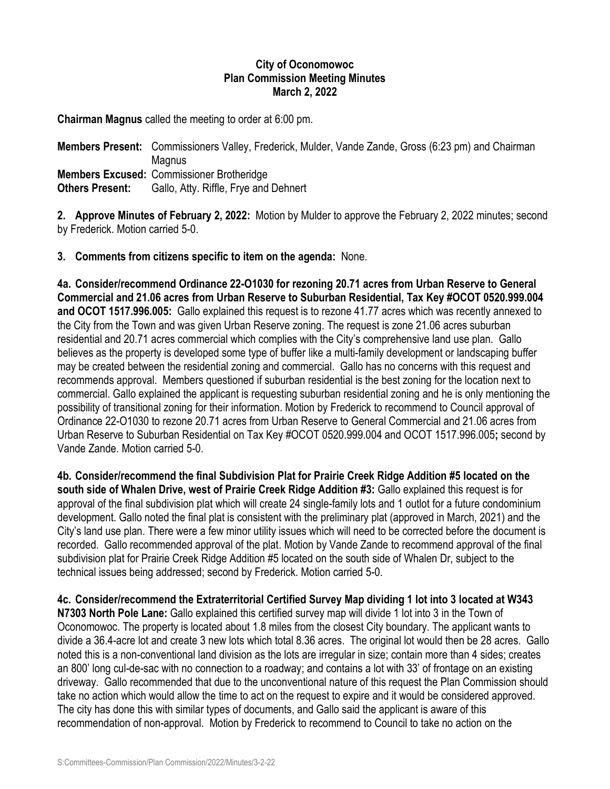## **City of Oconomowoc Plan Commission Meeting Minutes March 2, 2022**

**Chairman Magnus** called the meeting to order at 6:00 pm.

**Members Present:** Commissioners Valley, Frederick, Mulder, Vande Zande, Gross (6:23 pm) and Chairman **Magnus Members Excused:** Commissioner Brotheridge **Others Present:** Gallo, Atty. Riffle, Frye and Dehnert

**2. Approve Minutes of February 2, 2022:** Motion by Mulder to approve the February 2, 2022 minutes; second by Frederick. Motion carried 5-0.

**3. Comments from citizens specific to item on the agenda:** None.

**4a. Consider/recommend Ordinance 22-O1030 for rezoning 20.71 acres from Urban Reserve to General Commercial and 21.06 acres from Urban Reserve to Suburban Residential, Tax Key #OCOT 0520.999.004 and OCOT 1517.996.005:** Gallo explained this request is to rezone 41.77 acres which was recently annexed to the City from the Town and was given Urban Reserve zoning. The request is zone 21.06 acres suburban residential and 20.71 acres commercial which complies with the City's comprehensive land use plan. Gallo believes as the property is developed some type of buffer like a multi-family development or landscaping buffer may be created between the residential zoning and commercial. Gallo has no concerns with this request and recommends approval. Members questioned if suburban residential is the best zoning for the location next to commercial. Gallo explained the applicant is requesting suburban residential zoning and he is only mentioning the possibility of transitional zoning for their information. Motion by Frederick to recommend to Council approval of Ordinance 22-O1030 to rezone 20.71 acres from Urban Reserve to General Commercial and 21.06 acres from Urban Reserve to Suburban Residential on Tax Key #OCOT 0520.999.004 and OCOT 1517.996.005**;** second by Vande Zande. Motion carried 5-0.

**4b. Consider/recommend the final Subdivision Plat for Prairie Creek Ridge Addition #5 located on the south side of Whalen Drive, west of Prairie Creek Ridge Addition #3:** Gallo explained this request is for approval of the final subdivision plat which will create 24 single-family lots and 1 outlot for a future condominium development. Gallo noted the final plat is consistent with the preliminary plat (approved in March, 2021) and the City's land use plan. There were a few minor utility issues which will need to be corrected before the document is recorded. Gallo recommended approval of the plat. Motion by Vande Zande to recommend approval of the final subdivision plat for Prairie Creek Ridge Addition #5 located on the south side of Whalen Dr, subject to the technical issues being addressed; second by Frederick. Motion carried 5-0.

**4c. Consider/recommend the Extraterritorial Certified Survey Map dividing 1 lot into 3 located at W343 N7303 North Pole Lane:** Gallo explained this certified survey map will divide 1 lot into 3 in the Town of Oconomowoc. The property is located about 1.8 miles from the closest City boundary. The applicant wants to divide a 36.4-acre lot and create 3 new lots which total 8.36 acres. The original lot would then be 28 acres. Gallo noted this is a non-conventional land division as the lots are irregular in size; contain more than 4 sides; creates an 800' long cul-de-sac with no connection to a roadway; and contains a lot with 33' of frontage on an existing driveway. Gallo recommended that due to the unconventional nature of this request the Plan Commission should take no action which would allow the time to act on the request to expire and it would be considered approved. The city has done this with similar types of documents, and Gallo said the applicant is aware of this recommendation of non-approval. Motion by Frederick to recommend to Council to take no action on the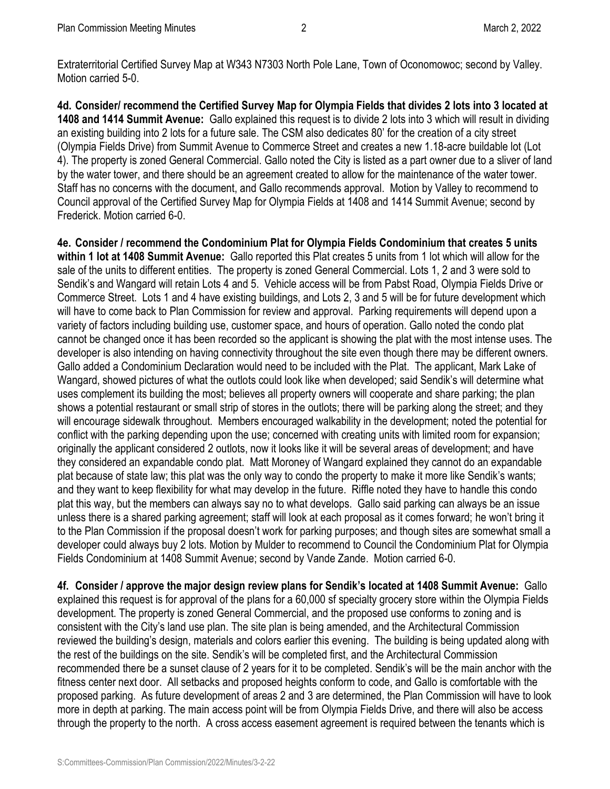Extraterritorial Certified Survey Map at W343 N7303 North Pole Lane, Town of Oconomowoc; second by Valley. Motion carried 5-0.

**4d. Consider/ recommend the Certified Survey Map for Olympia Fields that divides 2 lots into 3 located at 1408 and 1414 Summit Avenue:** Gallo explained this request is to divide 2 lots into 3 which will result in dividing an existing building into 2 lots for a future sale. The CSM also dedicates 80' for the creation of a city street (Olympia Fields Drive) from Summit Avenue to Commerce Street and creates a new 1.18-acre buildable lot (Lot 4). The property is zoned General Commercial. Gallo noted the City is listed as a part owner due to a sliver of land by the water tower, and there should be an agreement created to allow for the maintenance of the water tower. Staff has no concerns with the document, and Gallo recommends approval. Motion by Valley to recommend to Council approval of the Certified Survey Map for Olympia Fields at 1408 and 1414 Summit Avenue; second by Frederick. Motion carried 6-0.

**4e. Consider / recommend the Condominium Plat for Olympia Fields Condominium that creates 5 units within 1 lot at 1408 Summit Avenue:** Gallo reported this Plat creates 5 units from 1 lot which will allow for the sale of the units to different entities. The property is zoned General Commercial. Lots 1, 2 and 3 were sold to Sendik's and Wangard will retain Lots 4 and 5. Vehicle access will be from Pabst Road, Olympia Fields Drive or Commerce Street. Lots 1 and 4 have existing buildings, and Lots 2, 3 and 5 will be for future development which will have to come back to Plan Commission for review and approval. Parking requirements will depend upon a variety of factors including building use, customer space, and hours of operation. Gallo noted the condo plat cannot be changed once it has been recorded so the applicant is showing the plat with the most intense uses. The developer is also intending on having connectivity throughout the site even though there may be different owners. Gallo added a Condominium Declaration would need to be included with the Plat. The applicant, Mark Lake of Wangard, showed pictures of what the outlots could look like when developed; said Sendik's will determine what uses complement its building the most; believes all property owners will cooperate and share parking; the plan shows a potential restaurant or small strip of stores in the outlots; there will be parking along the street; and they will encourage sidewalk throughout. Members encouraged walkability in the development; noted the potential for conflict with the parking depending upon the use; concerned with creating units with limited room for expansion; originally the applicant considered 2 outlots, now it looks like it will be several areas of development; and have they considered an expandable condo plat. Matt Moroney of Wangard explained they cannot do an expandable plat because of state law; this plat was the only way to condo the property to make it more like Sendik's wants; and they want to keep flexibility for what may develop in the future. Riffle noted they have to handle this condo plat this way, but the members can always say no to what develops. Gallo said parking can always be an issue unless there is a shared parking agreement; staff will look at each proposal as it comes forward; he won't bring it to the Plan Commission if the proposal doesn't work for parking purposes; and though sites are somewhat small a developer could always buy 2 lots. Motion by Mulder to recommend to Council the Condominium Plat for Olympia Fields Condominium at 1408 Summit Avenue; second by Vande Zande. Motion carried 6-0.

**4f. Consider / approve the major design review plans for Sendik's located at 1408 Summit Avenue:** Gallo explained this request is for approval of the plans for a 60,000 sf specialty grocery store within the Olympia Fields development. The property is zoned General Commercial, and the proposed use conforms to zoning and is consistent with the City's land use plan. The site plan is being amended, and the Architectural Commission reviewed the building's design, materials and colors earlier this evening. The building is being updated along with the rest of the buildings on the site. Sendik's will be completed first, and the Architectural Commission recommended there be a sunset clause of 2 years for it to be completed. Sendik's will be the main anchor with the fitness center next door. All setbacks and proposed heights conform to code, and Gallo is comfortable with the proposed parking. As future development of areas 2 and 3 are determined, the Plan Commission will have to look more in depth at parking. The main access point will be from Olympia Fields Drive, and there will also be access through the property to the north. A cross access easement agreement is required between the tenants which is